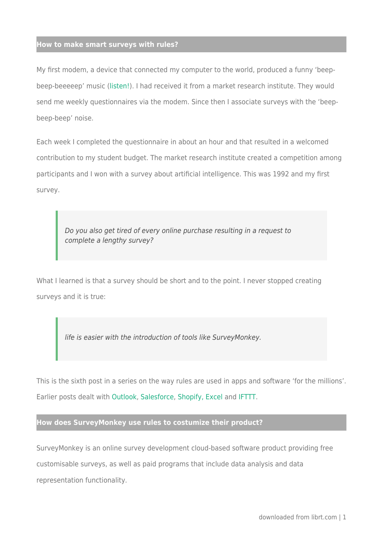My first modem, a device that connected my computer to the world, produced a funny 'beepbeep-beeeeep' music ([listen!](https://youtu.be/gsNaR6FRuO0)). I had received it from a market research institute. They would send me weekly questionnaires via the modem. Since then I associate surveys with the 'beepbeep-beep' noise.

Each week I completed the questionnaire in about an hour and that resulted in a welcomed contribution to my student budget. The market research institute created a competition among participants and I won with a survey about artificial intelligence. This was 1992 and my first survey.

Do you also get tired of every online purchase resulting in a request to complete a lengthy survey?

What I learned is that a survey should be short and to the point. I never stopped creating surveys and it is true:

life is easier with the introduction of tools like SurveyMonkey.

This is the sixth post in a series on the way rules are used in apps and software 'for the millions'. Earlier posts dealt with [Outlook](http://www.linkedin.com/pulse/rules-outlook-silvie-spreeuwenberg), [Salesforce](http://www.linkedin.com/pulse/rules-salesforce-silvie-spreeuwenberg), [Shopify,](http://www.linkedin.com/pulse/rules-shopify-silvie-spreeuwenberg) [Excel](http://www.linkedin.com/pulse/rules-excel-silvie-spreeuwenberg) and [IFTTT.](https://www.linkedin.com/pulse/rules-my-personal-assistent-ifttt-silvie-spreeuwenberg)

# **How does SurveyMonkey use rules to costumize their product?**

SurveyMonkey is an online survey development cloud-based software product providing free customisable surveys, as well as paid programs that include data analysis and data representation functionality.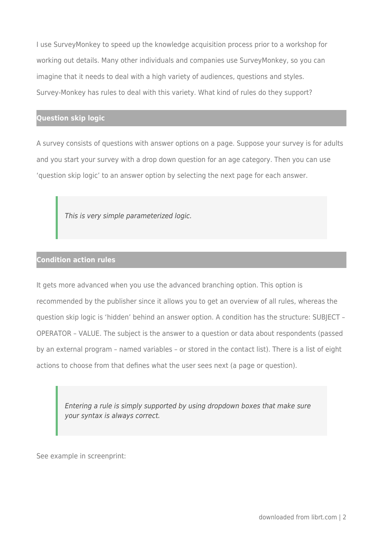I use SurveyMonkey to speed up the knowledge acquisition process prior to a workshop for working out details. Many other individuals and companies use SurveyMonkey, so you can imagine that it needs to deal with a high variety of audiences, questions and styles. Survey-Monkey has rules to deal with this variety. What kind of rules do they support?

# **Question skip logic**

A survey consists of questions with answer options on a page. Suppose your survey is for adults and you start your survey with a drop down question for an age category. Then you can use 'question skip logic' to an answer option by selecting the next page for each answer.

This is very simple parameterized logic.

# **Condition action rules**

It gets more advanced when you use the advanced branching option. This option is recommended by the publisher since it allows you to get an overview of all rules, whereas the question skip logic is 'hidden' behind an answer option. A condition has the structure: SUBJECT – OPERATOR – VALUE. The subject is the answer to a question or data about respondents (passed by an external program – named variables – or stored in the contact list). There is a list of eight actions to choose from that defines what the user sees next (a page or question).

Entering a rule is simply supported by using dropdown boxes that make sure your syntax is always correct.

See example in screenprint: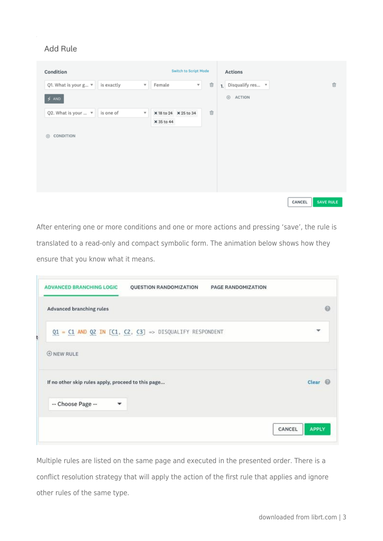# Add Rule

| Condition                       |            |                         |                       | Switch to Script Mode |   | Actions             |        |                  |
|---------------------------------|------------|-------------------------|-----------------------|-----------------------|---|---------------------|--------|------------------|
| Q1. What is your g $\mathbf{v}$ | is exactly | $\overline{\mathbf{v}}$ | Female                | $\mathbf{v}$ .        | Û | 1. Disqualify res v |        | Û                |
| $5$ AND                         |            |                         |                       |                       |   | ACTION<br>⊕         |        |                  |
| Q2. What is your $\mathbb{1}$   | is one of  | $\overline{\mathbf{v}}$ | × 18 to 24 × 25 to 34 |                       | Ů |                     |        |                  |
|                                 |            |                         | × 35 to 44            |                       |   |                     |        |                  |
| CONDITION<br>$\circledcirc$     |            |                         |                       |                       |   |                     |        |                  |
|                                 |            |                         |                       |                       |   |                     |        |                  |
|                                 |            |                         |                       |                       |   |                     |        |                  |
|                                 |            |                         |                       |                       |   |                     |        |                  |
|                                 |            |                         |                       |                       |   |                     |        |                  |
|                                 |            |                         |                       |                       |   |                     | CANCEL | <b>SAVE RULE</b> |

After entering one or more conditions and one or more actions and pressing 'save', the rule is translated to a read-only and compact symbolic form. The animation below shows how they ensure that you know what it means.

| <b>ADVANCED BRANCHING LOGIC</b>                    | QUESTION RANDOMIZATION                                        | PAGE RANDOMIZATION |                        |
|----------------------------------------------------|---------------------------------------------------------------|--------------------|------------------------|
| <b>Advanced branching rules</b>                    |                                                               |                    | ⋒                      |
|                                                    | $Q1 = C1$ AND $Q2$ IN $[C1, C2, C3]$ => DISQUALIFY RESPONDENT |                    | ÷                      |
| <b>ONEW RULE</b>                                   |                                                               |                    |                        |
| If no other skip rules apply, proceed to this page |                                                               |                    | Clear                  |
| -- Choose Page --<br>۰                             |                                                               |                    |                        |
|                                                    |                                                               |                    | <b>APPLY</b><br>CANCEL |

Multiple rules are listed on the same page and executed in the presented order. There is a conflict resolution strategy that will apply the action of the first rule that applies and ignore other rules of the same type.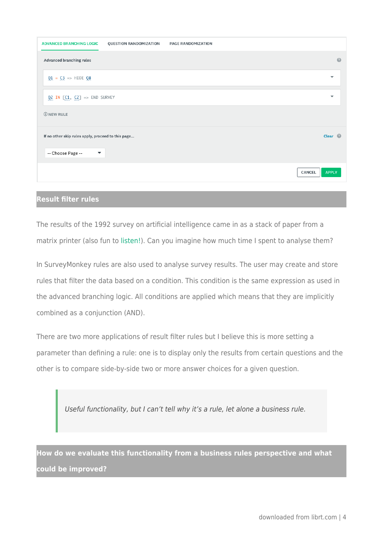| <b>ADVANCED BRANCHING LOGIC</b><br>QUESTION RANDOMIZATION                                           | <b>PAGE RANDOMIZATION</b> |                          |
|-----------------------------------------------------------------------------------------------------|---------------------------|--------------------------|
| Advanced branching rules                                                                            |                           | $\Omega$                 |
| $Q1 = C3 \implies \text{HIDE } Q8$                                                                  |                           | $\overline{\phantom{a}}$ |
| $Q2 IN [C1, C2] \Rightarrow$ END SURVEY                                                             |                           | $\overline{\phantom{a}}$ |
| $\oplus$ NEW RULE                                                                                   |                           |                          |
| If no other skip rules apply, proceed to this page<br>-- Choose Page --<br>$\overline{\phantom{a}}$ |                           | Clear $\circledR$        |
|                                                                                                     |                           |                          |
|                                                                                                     | CANCEL                    | <b>APPLY</b>             |
|                                                                                                     |                           |                          |

### **Result filter rules**

The results of the 1992 survey on artificial intelligence came in as a stack of paper from a matrix printer (also fun to [listen!\)](https://youtu.be/qlEUrEVqDbo). Can you imagine how much time I spent to analyse them?

In SurveyMonkey rules are also used to analyse survey results. The user may create and store rules that filter the data based on a condition. This condition is the same expression as used in the advanced branching logic. All conditions are applied which means that they are implicitly combined as a conjunction (AND).

There are two more applications of result filter rules but I believe this is more setting a parameter than defining a rule: one is to display only the results from certain questions and the other is to compare side-by-side two or more answer choices for a given question.

Useful functionality, but I can't tell why it's a rule, let alone a business rule.

**How do we evaluate this functionality from a business rules perspective and what could be improved?**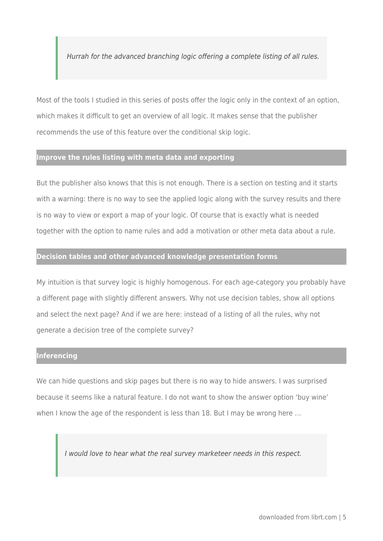Hurrah for the advanced branching logic offering a complete listing of all rules.

Most of the tools I studied in this series of posts offer the logic only in the context of an option, which makes it difficult to get an overview of all logic. It makes sense that the publisher recommends the use of this feature over the conditional skip logic.

## **Improve the rules listing with meta data and exporting**

But the publisher also knows that this is not enough. There is a section on testing and it starts with a warning: there is no way to see the applied logic along with the survey results and there is no way to view or export a map of your logic. Of course that is exactly what is needed together with the option to name rules and add a motivation or other meta data about a rule.

#### **Decision tables and other advanced knowledge presentation forms**

My intuition is that survey logic is highly homogenous. For each age-category you probably have a different page with slightly different answers. Why not use decision tables, show all options and select the next page? And if we are here: instead of a listing of all the rules, why not generate a decision tree of the complete survey?

#### **Inferencing**

We can hide questions and skip pages but there is no way to hide answers. I was surprised because it seems like a natural feature. I do not want to show the answer option 'buy wine' when I know the age of the respondent is less than 18. But I may be wrong here ...

I would love to hear what the real survey marketeer needs in this respect.